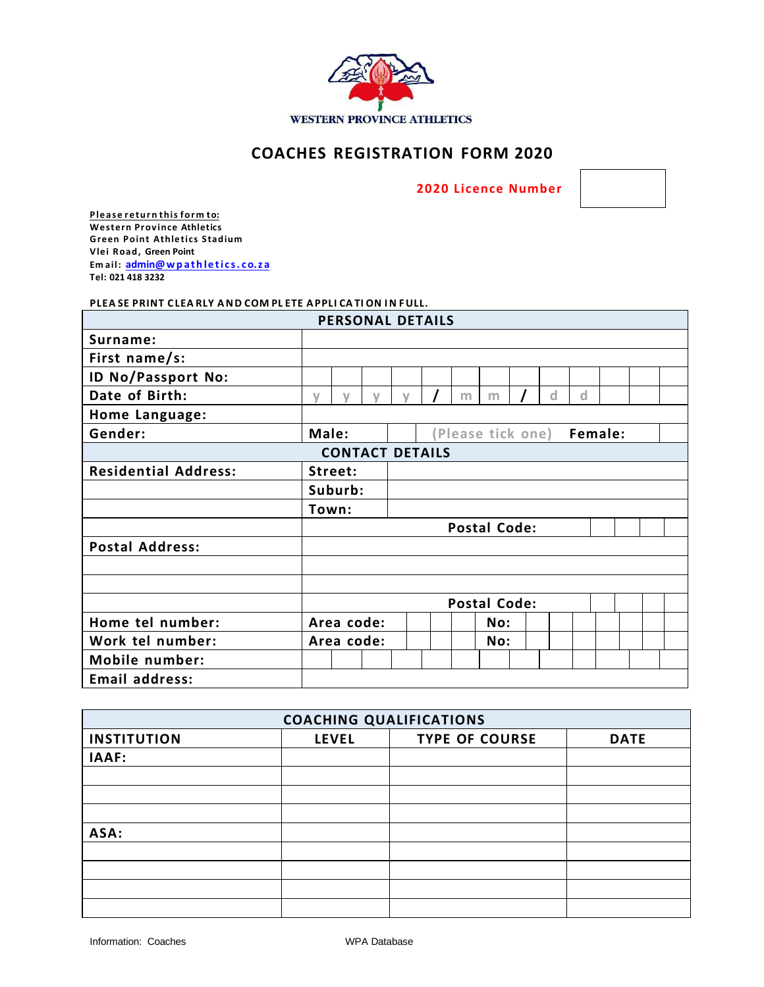

## **COACHES REGISTRATION FORM 2020**

 **2020 Licence Number** 



**Please retur n this form to: Western Province Athletics Green Point Athletics Stadium Vlei Road, Green Point Em ail: [admin@wp](mailto:office@wpathletics.co.za) ath le ti c s. co.z a Tel: 021 418 3232**

## **PLEA SE PRINT C LEA RLY AND COM PL ETE APPLI CA TI ON IN FULL.**

|                             |                     |            |        | <b>PERSONAL DETAILS</b> |                             |   |     |  |   |   |  |  |
|-----------------------------|---------------------|------------|--------|-------------------------|-----------------------------|---|-----|--|---|---|--|--|
| Surname:                    |                     |            |        |                         |                             |   |     |  |   |   |  |  |
| First name/s:               |                     |            |        |                         |                             |   |     |  |   |   |  |  |
| ID No/Passport No:          |                     |            |        |                         |                             |   |     |  |   |   |  |  |
| Date of Birth:              | $\vee$              | $\sqrt{ }$ | $\vee$ | $\vee$                  |                             | m | m   |  | d | d |  |  |
| Home Language:              |                     |            |        |                         |                             |   |     |  |   |   |  |  |
| Gender:                     | Male:               |            |        |                         | Female:<br>Please tick one) |   |     |  |   |   |  |  |
|                             |                     |            |        | <b>CONTACT DETAILS</b>  |                             |   |     |  |   |   |  |  |
| <b>Residential Address:</b> | Street:             |            |        |                         |                             |   |     |  |   |   |  |  |
|                             |                     | Suburb:    |        |                         |                             |   |     |  |   |   |  |  |
|                             | Town:               |            |        |                         |                             |   |     |  |   |   |  |  |
|                             | <b>Postal Code:</b> |            |        |                         |                             |   |     |  |   |   |  |  |
| <b>Postal Address:</b>      |                     |            |        |                         |                             |   |     |  |   |   |  |  |
|                             |                     |            |        |                         |                             |   |     |  |   |   |  |  |
|                             |                     |            |        |                         |                             |   |     |  |   |   |  |  |
|                             | <b>Postal Code:</b> |            |        |                         |                             |   |     |  |   |   |  |  |
| Home tel number:            | Area code:          |            |        |                         |                             |   | No: |  |   |   |  |  |
| Work tel number:            | Area code:          |            |        |                         |                             |   | No: |  |   |   |  |  |
| Mobile number:              |                     |            |        |                         |                             |   |     |  |   |   |  |  |
| Email address:              |                     |            |        |                         |                             |   |     |  |   |   |  |  |

| <b>COACHING QUALIFICATIONS</b> |              |                       |             |  |  |  |  |  |
|--------------------------------|--------------|-----------------------|-------------|--|--|--|--|--|
| <b>INSTITUTION</b>             | <b>LEVEL</b> | <b>TYPE OF COURSE</b> | <b>DATE</b> |  |  |  |  |  |
| IAAF:                          |              |                       |             |  |  |  |  |  |
|                                |              |                       |             |  |  |  |  |  |
|                                |              |                       |             |  |  |  |  |  |
|                                |              |                       |             |  |  |  |  |  |
| ASA:                           |              |                       |             |  |  |  |  |  |
|                                |              |                       |             |  |  |  |  |  |
|                                |              |                       |             |  |  |  |  |  |
|                                |              |                       |             |  |  |  |  |  |
|                                |              |                       |             |  |  |  |  |  |